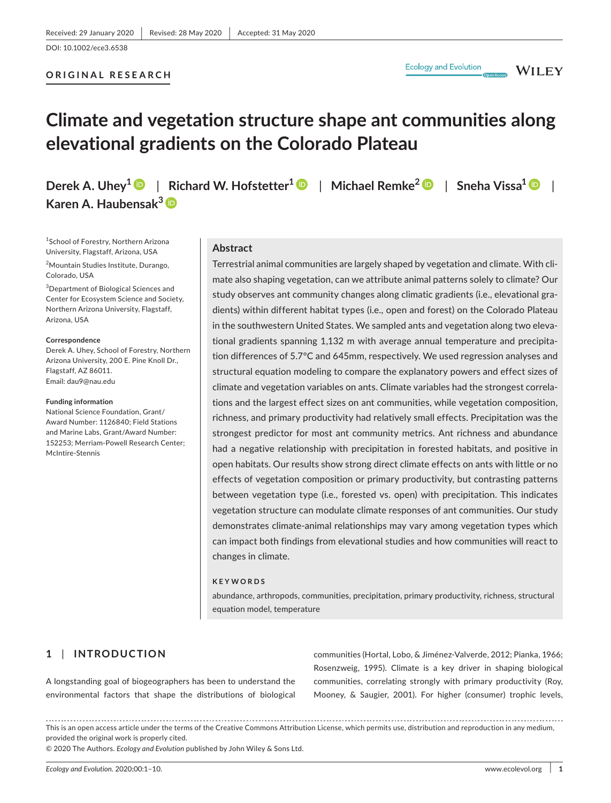## **ORIGINAL RESEARCH**

**WILEY** 

# **Climate and vegetation structure shape ant communities along elevational gradients on the Colorado Plateau**

**Derek A. Uhey[1](https://orcid.org/0000-0003-2489-1605)** | **Richard W. Hofstetter1** | **Michael Remke[2](https://orcid.org/0000-0002-9972-8848)** | **Sneha Vissa[1](https://orcid.org/0000-0002-9978-2027)** | **Karen A. Haubensak[3](https://orcid.org/0000-0002-0987-6135)**

1 School of Forestry, Northern Arizona University, Flagstaff, Arizona, USA

2 Mountain Studies Institute, Durango, Colorado, USA

3 Department of Biological Sciences and Center for Ecosystem Science and Society, Northern Arizona University, Flagstaff, Arizona, USA

#### **Correspondence**

Derek A. Uhey, School of Forestry, Northern Arizona University, 200 E. Pine Knoll Dr., Flagstaff, AZ 86011. Email: [dau9@nau.edu](mailto:dau9@nau.edu)

#### **Funding information**

National Science Foundation, Grant/ Award Number: 1126840; Field Stations and Marine Labs, Grant/Award Number: 152253; Merriam-Powell Research Center; McIntire-Stennis

## **Abstract**

Terrestrial animal communities are largely shaped by vegetation and climate. With climate also shaping vegetation, can we attribute animal patterns solely to climate? Our study observes ant community changes along climatic gradients (i.e., elevational gradients) within different habitat types (i.e., open and forest) on the Colorado Plateau in the southwestern United States. We sampled ants and vegetation along two elevational gradients spanning 1,132 m with average annual temperature and precipitation differences of 5.7°C and 645mm, respectively. We used regression analyses and structural equation modeling to compare the explanatory powers and effect sizes of climate and vegetation variables on ants. Climate variables had the strongest correlations and the largest effect sizes on ant communities, while vegetation composition, richness, and primary productivity had relatively small effects. Precipitation was the strongest predictor for most ant community metrics. Ant richness and abundance had a negative relationship with precipitation in forested habitats, and positive in open habitats. Our results show strong direct climate effects on ants with little or no effects of vegetation composition or primary productivity, but contrasting patterns between vegetation type (i.e., forested vs. open) with precipitation. This indicates vegetation structure can modulate climate responses of ant communities. Our study demonstrates climate-animal relationships may vary among vegetation types which can impact both findings from elevational studies and how communities will react to changes in climate.

#### **KEYWORDS**

abundance, arthropods, communities, precipitation, primary productivity, richness, structural equation model, temperature

## **1** | **INTRODUCTION**

A longstanding goal of biogeographers has been to understand the environmental factors that shape the distributions of biological communities (Hortal, Lobo, & Jiménez-Valverde, 2012; Pianka, 1966; Rosenzweig, 1995). Climate is a key driver in shaping biological communities, correlating strongly with primary productivity (Roy, Mooney, & Saugier, 2001). For higher (consumer) trophic levels,

This is an open access article under the terms of the [Creative Commons Attribution](http://creativecommons.org/licenses/by/4.0/) License, which permits use, distribution and reproduction in any medium, provided the original work is properly cited.

© 2020 The Authors. *Ecology and Evolution* published by John Wiley & Sons Ltd.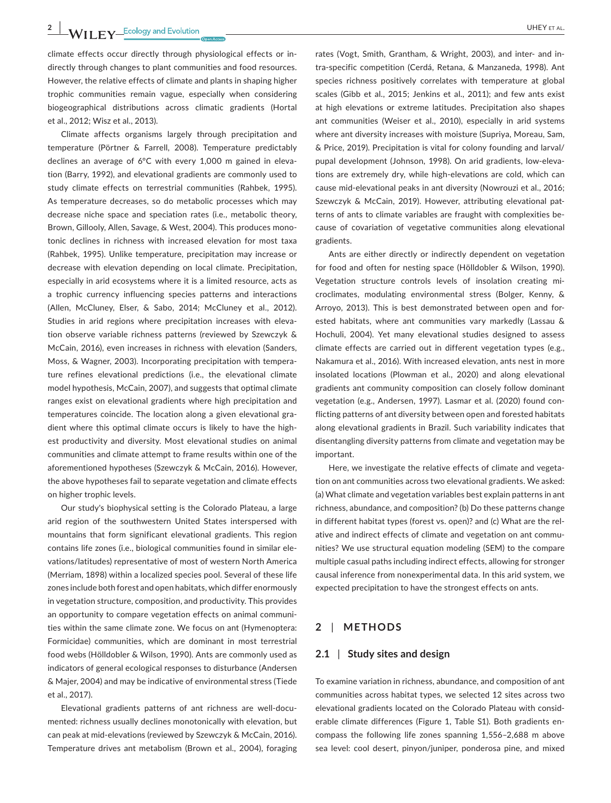climate effects occur directly through physiological effects or indirectly through changes to plant communities and food resources. However, the relative effects of climate and plants in shaping higher trophic communities remain vague, especially when considering biogeographical distributions across climatic gradients (Hortal et al., 2012; Wisz et al., 2013).

Climate affects organisms largely through precipitation and temperature (Pörtner & Farrell, 2008). Temperature predictably declines an average of 6°C with every 1,000 m gained in elevation (Barry, 1992), and elevational gradients are commonly used to study climate effects on terrestrial communities (Rahbek, 1995). As temperature decreases, so do metabolic processes which may decrease niche space and speciation rates (i.e., metabolic theory, Brown, Gillooly, Allen, Savage, & West, 2004). This produces monotonic declines in richness with increased elevation for most taxa (Rahbek, 1995). Unlike temperature, precipitation may increase or decrease with elevation depending on local climate. Precipitation, especially in arid ecosystems where it is a limited resource, acts as a trophic currency influencing species patterns and interactions (Allen, McCluney, Elser, & Sabo, 2014; McCluney et al., 2012). Studies in arid regions where precipitation increases with elevation observe variable richness patterns (reviewed by Szewczyk & McCain, 2016), even increases in richness with elevation (Sanders, Moss, & Wagner, 2003). Incorporating precipitation with temperature refines elevational predictions (i.e., the elevational climate model hypothesis, McCain, 2007), and suggests that optimal climate ranges exist on elevational gradients where high precipitation and temperatures coincide. The location along a given elevational gradient where this optimal climate occurs is likely to have the highest productivity and diversity. Most elevational studies on animal communities and climate attempt to frame results within one of the aforementioned hypotheses (Szewczyk & McCain, 2016). However, the above hypotheses fail to separate vegetation and climate effects on higher trophic levels.

Our study's biophysical setting is the Colorado Plateau, a large arid region of the southwestern United States interspersed with mountains that form significant elevational gradients. This region contains life zones (i.e., biological communities found in similar elevations/latitudes) representative of most of western North America (Merriam, 1898) within a localized species pool. Several of these life zones include both forest and open habitats, which differ enormously in vegetation structure, composition, and productivity. This provides an opportunity to compare vegetation effects on animal communities within the same climate zone. We focus on ant (Hymenoptera: Formicidae) communities, which are dominant in most terrestrial food webs (Hölldobler & Wilson, 1990). Ants are commonly used as indicators of general ecological responses to disturbance (Andersen & Majer, 2004) and may be indicative of environmental stress (Tiede et al., 2017).

Elevational gradients patterns of ant richness are well-documented: richness usually declines monotonically with elevation, but can peak at mid-elevations (reviewed by Szewczyk & McCain, 2016). Temperature drives ant metabolism (Brown et al., 2004), foraging

rates (Vogt, Smith, Grantham, & Wright, 2003), and inter- and intra-specific competition (Cerdá, Retana, & Manzaneda, 1998). Ant species richness positively correlates with temperature at global scales (Gibb et al., 2015; Jenkins et al., 2011); and few ants exist at high elevations or extreme latitudes. Precipitation also shapes ant communities (Weiser et al., 2010), especially in arid systems where ant diversity increases with moisture (Supriya, Moreau, Sam, & Price, 2019). Precipitation is vital for colony founding and larval/ pupal development (Johnson, 1998). On arid gradients, low-elevations are extremely dry, while high-elevations are cold, which can cause mid-elevational peaks in ant diversity (Nowrouzi et al., 2016; Szewczyk & McCain, 2019). However, attributing elevational patterns of ants to climate variables are fraught with complexities because of covariation of vegetative communities along elevational gradients.

Ants are either directly or indirectly dependent on vegetation for food and often for nesting space (Hölldobler & Wilson, 1990). Vegetation structure controls levels of insolation creating microclimates, modulating environmental stress (Bolger, Kenny, & Arroyo, 2013). This is best demonstrated between open and forested habitats, where ant communities vary markedly (Lassau & Hochuli, 2004). Yet many elevational studies designed to assess climate effects are carried out in different vegetation types (e.g., Nakamura et al., 2016). With increased elevation, ants nest in more insolated locations (Plowman et al., 2020) and along elevational gradients ant community composition can closely follow dominant vegetation (e.g., Andersen, 1997). Lasmar et al. (2020) found conflicting patterns of ant diversity between open and forested habitats along elevational gradients in Brazil. Such variability indicates that disentangling diversity patterns from climate and vegetation may be important.

Here, we investigate the relative effects of climate and vegetation on ant communities across two elevational gradients. We asked: (a) What climate and vegetation variables best explain patterns in ant richness, abundance, and composition? (b) Do these patterns change in different habitat types (forest vs. open)? and (c) What are the relative and indirect effects of climate and vegetation on ant communities? We use structural equation modeling (SEM) to the compare multiple casual paths including indirect effects, allowing for stronger causal inference from nonexperimental data. In this arid system, we expected precipitation to have the strongest effects on ants.

## **2** | **METHODS**

#### **2.1** | **Study sites and design**

To examine variation in richness, abundance, and composition of ant communities across habitat types, we selected 12 sites across two elevational gradients located on the Colorado Plateau with considerable climate differences (Figure 1, Table S1). Both gradients encompass the following life zones spanning 1,556–2,688 m above sea level: cool desert, pinyon/juniper, ponderosa pine, and mixed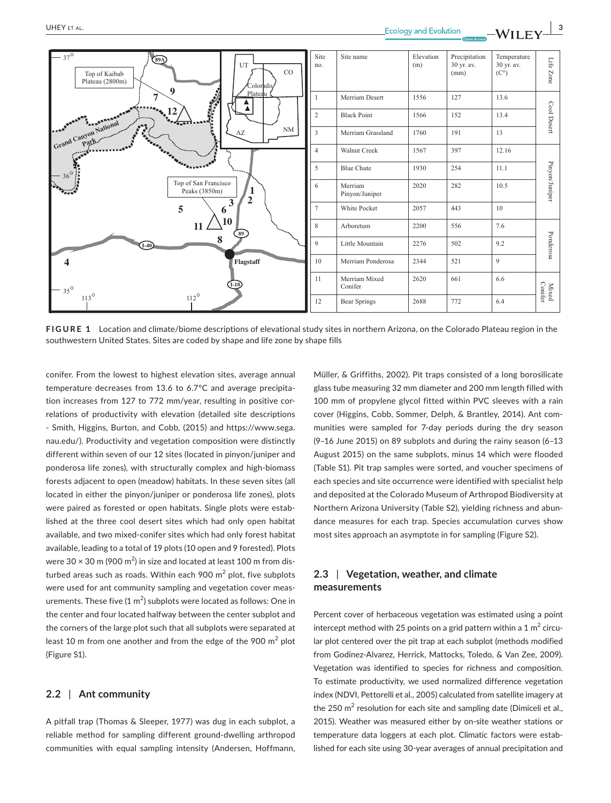

**FIGURE 1** Location and climate/biome descriptions of elevational study sites in northern Arizona, on the Colorado Plateau region in the southwestern United States. Sites are coded by shape and life zone by shape fills

conifer. From the lowest to highest elevation sites, average annual temperature decreases from 13.6 to 6.7°C and average precipitation increases from 127 to 772 mm/year, resulting in positive correlations of productivity with elevation (detailed site descriptions - Smith, Higgins, Burton, and Cobb, (2015) and [https://www.sega.](https://www.sega.nau.edu/) [nau.edu/](https://www.sega.nau.edu/)). Productivity and vegetation composition were distinctly different within seven of our 12 sites (located in pinyon/juniper and ponderosa life zones), with structurally complex and high-biomass forests adjacent to open (meadow) habitats. In these seven sites (all located in either the pinyon/juniper or ponderosa life zones), plots were paired as forested or open habitats. Single plots were established at the three cool desert sites which had only open habitat available, and two mixed-conifer sites which had only forest habitat available, leading to a total of 19 plots (10 open and 9 forested). Plots were 30  $\times$  30 m (900 m $^2$ ) in size and located at least 100 m from disturbed areas such as roads. Within each 900  $\mathrm{m}^2$  plot, five subplots were used for ant community sampling and vegetation cover measurements. These five (1  $\mathrm{m}^2$ ) subplots were located as follows: One in the center and four located halfway between the center subplot and the corners of the large plot such that all subplots were separated at least 10 m from one another and from the edge of the 900  $m^2$  plot (Figure S1).

#### **2.2** | **Ant community**

A pitfall trap (Thomas & Sleeper, 1977) was dug in each subplot, a reliable method for sampling different ground-dwelling arthropod communities with equal sampling intensity (Andersen, Hoffmann, Müller, & Griffiths, 2002). Pit traps consisted of a long borosilicate glass tube measuring 32 mm diameter and 200 mm length filled with 100 mm of propylene glycol fitted within PVC sleeves with a rain cover (Higgins, Cobb, Sommer, Delph, & Brantley, 2014). Ant communities were sampled for 7-day periods during the dry season (9–16 June 2015) on 89 subplots and during the rainy season (6–13 August 2015) on the same subplots, minus 14 which were flooded (Table S1). Pit trap samples were sorted, and voucher specimens of each species and site occurrence were identified with specialist help and deposited at the Colorado Museum of Arthropod Biodiversity at Northern Arizona University (Table S2), yielding richness and abundance measures for each trap. Species accumulation curves show most sites approach an asymptote in for sampling (Figure S2).

# **2.3** | **Vegetation, weather, and climate measurements**

Percent cover of herbaceous vegetation was estimated using a point intercept method with 25 points on a grid pattern within a 1  $m^2$  circular plot centered over the pit trap at each subplot (methods modified from Godínez-Alvarez, Herrick, Mattocks, Toledo, & Van Zee, 2009). Vegetation was identified to species for richness and composition. To estimate productivity, we used normalized difference vegetation index (NDVI, Pettorelli et al., 2005) calculated from satellite imagery at the 250  $m^2$  resolution for each site and sampling date (Dimiceli et al., 2015). Weather was measured either by on-site weather stations or temperature data loggers at each plot. Climatic factors were established for each site using 30-year averages of annual precipitation and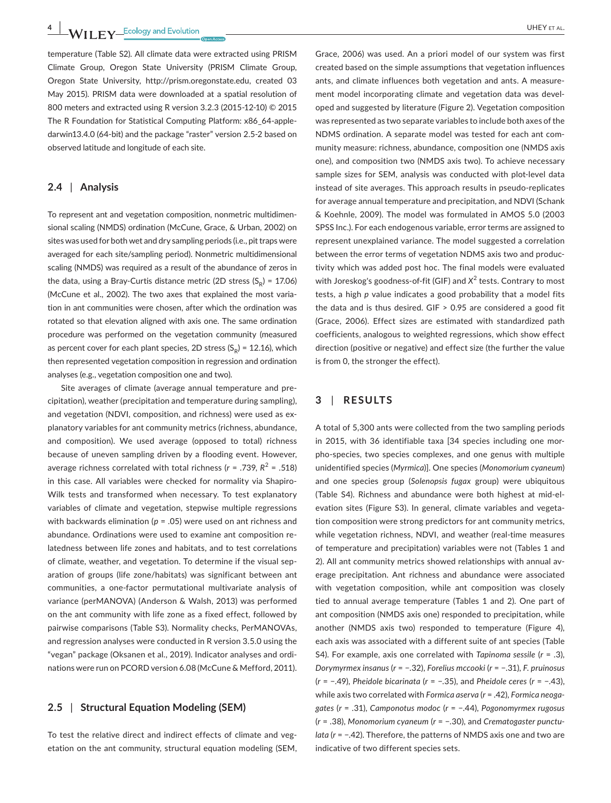**4 A/II EV** Ecology and Evolution **COVID-19 A/II EV** ET AL.

temperature (Table S2). All climate data were extracted using PRISM Climate Group, Oregon State University (PRISM Climate Group, Oregon State University, [http://prism.oregonstate.edu,](http://prism.oregonstate.edu) created 03 May 2015). PRISM data were downloaded at a spatial resolution of 800 meters and extracted using R version 3.2.3 (2015-12-10) © 2015 The R Foundation for Statistical Computing Platform: x86\_64-appledarwin13.4.0 (64-bit) and the package "raster" version 2.5-2 based on observed latitude and longitude of each site.

### **2.4** | **Analysis**

To represent ant and vegetation composition, nonmetric multidimensional scaling (NMDS) ordination (McCune, Grace, & Urban, 2002) on sites was used for both wet and dry sampling periods (i.e., pit traps were averaged for each site/sampling period). Nonmetric multidimensional scaling (NMDS) was required as a result of the abundance of zeros in the data, using a Bray-Curtis distance metric (2D stress  $(S_p) = 17.06$ ) (McCune et al., 2002). The two axes that explained the most variation in ant communities were chosen, after which the ordination was rotated so that elevation aligned with axis one. The same ordination procedure was performed on the vegetation community (measured as percent cover for each plant species, 2D stress  $(S_p) = 12.16$ ), which then represented vegetation composition in regression and ordination analyses (e.g., vegetation composition one and two).

Site averages of climate (average annual temperature and precipitation), weather (precipitation and temperature during sampling), and vegetation (NDVI, composition, and richness) were used as explanatory variables for ant community metrics (richness, abundance, and composition). We used average (opposed to total) richness because of uneven sampling driven by a flooding event. However, average richness correlated with total richness (*r* = .739, *R*<sup>2</sup> = .518) in this case. All variables were checked for normality via Shapiro-Wilk tests and transformed when necessary. To test explanatory variables of climate and vegetation, stepwise multiple regressions with backwards elimination (*p* = .05) were used on ant richness and abundance. Ordinations were used to examine ant composition relatedness between life zones and habitats, and to test correlations of climate, weather, and vegetation. To determine if the visual separation of groups (life zone/habitats) was significant between ant communities, a one-factor permutational multivariate analysis of variance (perMANOVA) (Anderson & Walsh, 2013) was performed on the ant community with life zone as a fixed effect, followed by pairwise comparisons (Table S3). Normality checks, PerMANOVAs, and regression analyses were conducted in R version 3.5.0 using the "vegan" package (Oksanen et al., 2019). Indicator analyses and ordinations were run on PCORD version 6.08 (McCune & Mefford, 2011).

## **2.5** | **Structural Equation Modeling (SEM)**

To test the relative direct and indirect effects of climate and vegetation on the ant community, structural equation modeling (SEM,

Grace, 2006) was used. An a priori model of our system was first created based on the simple assumptions that vegetation influences ants, and climate influences both vegetation and ants. A measurement model incorporating climate and vegetation data was developed and suggested by literature (Figure 2). Vegetation composition was represented as two separate variables to include both axes of the NDMS ordination. A separate model was tested for each ant community measure: richness, abundance, composition one (NMDS axis one), and composition two (NMDS axis two). To achieve necessary sample sizes for SEM, analysis was conducted with plot-level data instead of site averages. This approach results in pseudo-replicates for average annual temperature and precipitation, and NDVI (Schank & Koehnle, 2009). The model was formulated in AMOS 5.0 (2003 SPSS Inc.). For each endogenous variable, error terms are assigned to represent unexplained variance. The model suggested a correlation between the error terms of vegetation NDMS axis two and productivity which was added post hoc. The final models were evaluated with Joreskog's goodness-of-fit (GIF) and X<sup>2</sup> tests. Contrary to most tests, a high *p* value indicates a good probability that a model fits the data and is thus desired.  $GIF > 0.95$  are considered a good fit (Grace, 2006). Effect sizes are estimated with standardized path coefficients, analogous to weighted regressions, which show effect direction (positive or negative) and effect size (the further the value is from 0, the stronger the effect).

## **3** | **RESULTS**

A total of 5,300 ants were collected from the two sampling periods in 2015, with 36 identifiable taxa [34 species including one morpho-species, two species complexes, and one genus with multiple unidentified species (*Myrmica*)]. One species (*Monomorium cyaneum*) and one species group (*Solenopsis fugax* group) were ubiquitous (Table S4). Richness and abundance were both highest at mid-elevation sites (Figure S3). In general, climate variables and vegetation composition were strong predictors for ant community metrics, while vegetation richness, NDVI, and weather (real-time measures of temperature and precipitation) variables were not (Tables 1 and 2). All ant community metrics showed relationships with annual average precipitation. Ant richness and abundance were associated with vegetation composition, while ant composition was closely tied to annual average temperature (Tables 1 and 2). One part of ant composition (NMDS axis one) responded to precipitation, while another (NMDS axis two) responded to temperature (Figure 4), each axis was associated with a different suite of ant species (Table S4). For example, axis one correlated with *Tapinoma sessile* (*r* = .3), *Dorymyrmex insanus* (*r* = −.32), *Forelius mccooki* (*r* = −.31), *F. pruinosus* (*r* = −.49), *Pheidole bicarinata* (*r* = −.35), and *Pheidole ceres* (*r* = −.43), while axis two correlated with *Formica aserva* (*r* = .42), *Formica neogagates* (*r* = .31), *Camponotus modoc* (*r* = −.44), *Pogonomyrmex rugosus* (*r* = .38), *Monomorium cyaneum* (*r* = −.30), and *Crematogaster punctulata* (*r* = −.42). Therefore, the patterns of NMDS axis one and two are indicative of two different species sets.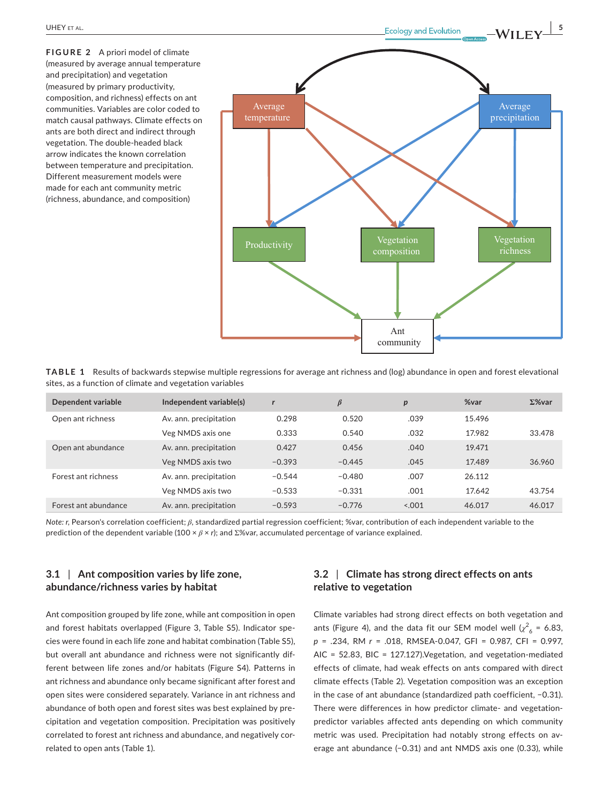**FIGURE 2** A priori model of climate (measured by average annual temperature and precipitation) and vegetation (measured by primary productivity, composition, and richness) effects on ant communities. Variables are color coded to match causal pathways. Climate effects on ants are both direct and indirect through vegetation. The double-headed black arrow indicates the known correlation between temperature and precipitation. Different measurement models were made for each ant community metric (richness, abundance, and composition)



**TABLE 1** Results of backwards stepwise multiple regressions for average ant richness and (log) abundance in open and forest elevational sites, as a function of climate and vegetation variables

| Dependent variable   | Independent variable(s) |          | $\beta$  | p       | %var   | $\Sigma$ %var |
|----------------------|-------------------------|----------|----------|---------|--------|---------------|
| Open ant richness    | Av. ann. precipitation  | 0.298    | 0.520    | .039    | 15.496 |               |
|                      | Veg NMDS axis one       | 0.333    | 0.540    | .032    | 17.982 | 33.478        |
| Open ant abundance   | Av. ann. precipitation  | 0.427    | 0.456    | .040    | 19.471 |               |
|                      | Veg NMDS axis two       | $-0.393$ | $-0.445$ | .045    | 17.489 | 36.960        |
| Forest ant richness  | Av. ann. precipitation  | $-0.544$ | $-0.480$ | .007    | 26.112 |               |
|                      | Veg NMDS axis two       | $-0.533$ | $-0.331$ | .001    | 17.642 | 43.754        |
| Forest ant abundance | Av. ann. precipitation  | $-0.593$ | $-0.776$ | < 0.001 | 46.017 | 46.017        |

*Note: r*, Pearson's correlation coefficient; *β*, standardized partial regression coefficient; %var, contribution of each independent variable to the prediction of the dependent variable (100 × *β* × *r*); and Σ%var, accumulated percentage of variance explained.

# **3.1** | **Ant composition varies by life zone, abundance/richness varies by habitat**

Ant composition grouped by life zone, while ant composition in open and forest habitats overlapped (Figure 3, Table S5). Indicator species were found in each life zone and habitat combination (Table S5), but overall ant abundance and richness were not significantly different between life zones and/or habitats (Figure S4). Patterns in ant richness and abundance only became significant after forest and open sites were considered separately. Variance in ant richness and abundance of both open and forest sites was best explained by precipitation and vegetation composition. Precipitation was positively correlated to forest ant richness and abundance, and negatively correlated to open ants (Table 1).

# **3.2** | **Climate has strong direct effects on ants relative to vegetation**

Climate variables had strong direct effects on both vegetation and ants (Figure 4), and the data fit our SEM model well  $\chi^2_{6}$  = 6.83, *p* = .234, RM *r* = .018, RMSEA-0.047, GFI = 0.987, CFI = 0.997, AIC = 52.83, BIC = 127.127).Vegetation, and vegetation-mediated effects of climate, had weak effects on ants compared with direct climate effects (Table 2). Vegetation composition was an exception in the case of ant abundance (standardized path coefficient, −0.31). There were differences in how predictor climate- and vegetationpredictor variables affected ants depending on which community metric was used. Precipitation had notably strong effects on average ant abundance (−0.31) and ant NMDS axis one (0.33), while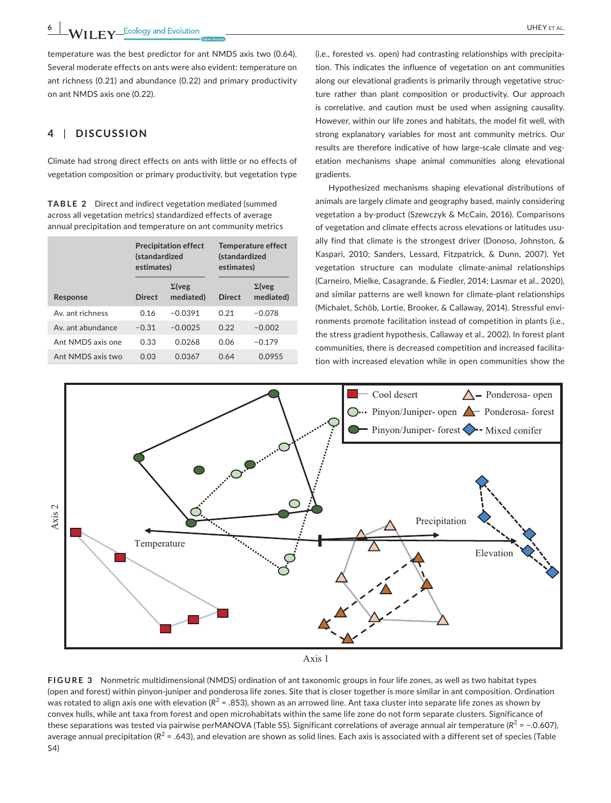**6 M/H**  $\bf{F}$  **C**  $\bf{F}$  **C**  $\bf{F}$  **C**  $\bf{F}$  **C**  $\bf{F}$  **C**  $\bf{F}$  **C**  $\bf{F}$  **C**  $\bf{F}$  **C**  $\bf{F}$  **C**  $\bf{F}$   $\bf{F}$   $\bf{F}$   $\bf{F}$   $\bf{F}$   $\bf{F}$   $\bf{F}$   $\bf{F}$   $\bf{F}$   $\bf{F}$   $\bf{F}$   $\bf{F}$   $\bf{F}$   $\$ 

temperature was the best predictor for ant NMDS axis two (0.64). Several moderate effects on ants were also evident: temperature on ant richness (0.21) and abundance (0.22) and primary productivity on ant NMDS axis one (0.22).

# **4** | **DISCUSSION**

Climate had strong direct effects on ants with little or no effects of vegetation composition or primary productivity, but vegetation type

**TABLE 2** Direct and indirect vegetation mediated (summed across all vegetation metrics) standardized effects of average annual precipitation and temperature on ant community metrics

|                   | (standardized<br>estimates) | <b>Precipitation effect</b> | Temperature effect<br><i>(standardized</i><br>estimates) |                            |  |
|-------------------|-----------------------------|-----------------------------|----------------------------------------------------------|----------------------------|--|
| Response          | <b>Direct</b>               | $\Sigma$ (veg<br>mediated)  | <b>Direct</b>                                            | $\Sigma$ (veg<br>mediated) |  |
| Av. ant richness  | 0.16                        | $-0.0391$                   | 0.21                                                     | $-0.078$                   |  |
| Av. ant abundance | $-0.31$                     | $-0.0025$                   | 0.22                                                     | $-0.002$                   |  |
| Ant NMDS axis one | 0.33                        | 0.0268                      | 0.06                                                     | $-0.179$                   |  |
| Ant NMDS axis two | 0.03                        | 0.0367                      | 0.64                                                     | 0.0955                     |  |

(i.e., forested vs. open) had contrasting relationships with precipitation. This indicates the influence of vegetation on ant communities along our elevational gradients is primarily through vegetative structure rather than plant composition or productivity. Our approach is correlative, and caution must be used when assigning causality. However, within our life zones and habitats, the model fit well, with strong explanatory variables for most ant community metrics. Our results are therefore indicative of how large-scale climate and vegetation mechanisms shape animal communities along elevational gradients.

Hypothesized mechanisms shaping elevational distributions of animals are largely climate and geography based, mainly considering vegetation a by-product (Szewczyk & McCain, 2016). Comparisons of vegetation and climate effects across elevations or latitudes usually find that climate is the strongest driver (Donoso, Johnston, & Kaspari, 2010; Sanders, Lessard, Fitzpatrick, & Dunn, 2007). Yet vegetation structure can modulate climate-animal relationships (Carneiro, Mielke, Casagrande, & Fiedler, 2014; Lasmar et al., 2020), and similar patterns are well known for climate-plant relationships (Michalet, Schöb, Lortie, Brooker, & Callaway, 2014). Stressful environments promote facilitation instead of competition in plants (i.e., the stress gradient hypothesis, Callaway et al., 2002). In forest plant communities, there is decreased competition and increased facilitation with increased elevation while in open communities show the





**FIGURE 3** Nonmetric multidimensional (NMDS) ordination of ant taxonomic groups in four life zones, as well as two habitat types (open and forest) within pinyon-juniper and ponderosa life zones. Site that is closer together is more similar in ant composition. Ordination was rotated to align axis one with elevation  $(R^2 = .853)$ , shown as an arrowed line. Ant taxa cluster into separate life zones as shown by convex hulls, while ant taxa from forest and open microhabitats within the same life zone do not form separate clusters. Significance of these separations was tested via pairwise perMANOVA (Table S5). Significant correlations of average annual air temperature ( $R^2$  = −.0.607), average annual precipitation  $(R^2 = .643)$ , and elevation are shown as solid lines. Each axis is associated with a different set of species (Table S4)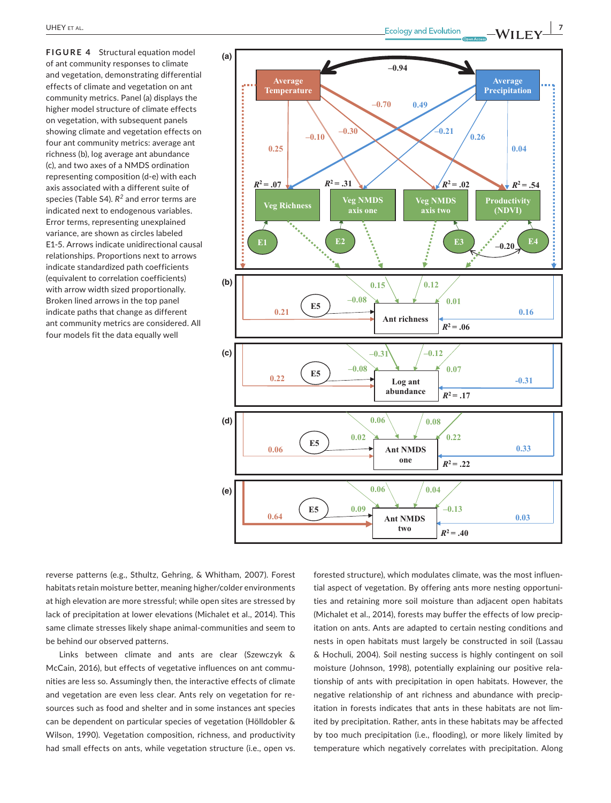**FIGURE 4** Structural equation model of ant community responses to climate and vegetation, demonstrating differential effects of climate and vegetation on ant community metrics. Panel (a) displays the higher model structure of climate effects on vegetation, with subsequent panels showing climate and vegetation effects on four ant community metrics: average ant richness (b), log average ant abundance (c), and two axes of a NMDS ordination representing composition (d-e) with each axis associated with a different suite of species (Table S4). *R<sup>2</sup>* and error terms are indicated next to endogenous variables. Error terms, representing unexplained variance, are shown as circles labeled E1-5. Arrows indicate unidirectional causal relationships. Proportions next to arrows indicate standardized path coefficients (equivalent to correlation coefficients) with arrow width sized proportionally. Broken lined arrows in the top panel indicate paths that change as different ant community metrics are considered. All four models fit the data equally well



reverse patterns (e.g., Sthultz, Gehring, & Whitham, 2007). Forest habitats retain moisture better, meaning higher/colder environments at high elevation are more stressful; while open sites are stressed by lack of precipitation at lower elevations (Michalet et al., 2014). This same climate stresses likely shape animal-communities and seem to be behind our observed patterns.

Links between climate and ants are clear (Szewczyk & McCain, 2016), but effects of vegetative influences on ant communities are less so. Assumingly then, the interactive effects of climate and vegetation are even less clear. Ants rely on vegetation for resources such as food and shelter and in some instances ant species can be dependent on particular species of vegetation (Hölldobler & Wilson, 1990). Vegetation composition, richness, and productivity had small effects on ants, while vegetation structure (i.e., open vs.

forested structure), which modulates climate, was the most influential aspect of vegetation. By offering ants more nesting opportunities and retaining more soil moisture than adjacent open habitats (Michalet et al., 2014), forests may buffer the effects of low precipitation on ants. Ants are adapted to certain nesting conditions and nests in open habitats must largely be constructed in soil (Lassau & Hochuli, 2004). Soil nesting success is highly contingent on soil moisture (Johnson, 1998), potentially explaining our positive relationship of ants with precipitation in open habitats. However, the negative relationship of ant richness and abundance with precipitation in forests indicates that ants in these habitats are not limited by precipitation. Rather, ants in these habitats may be affected by too much precipitation (i.e., flooding), or more likely limited by temperature which negatively correlates with precipitation. Along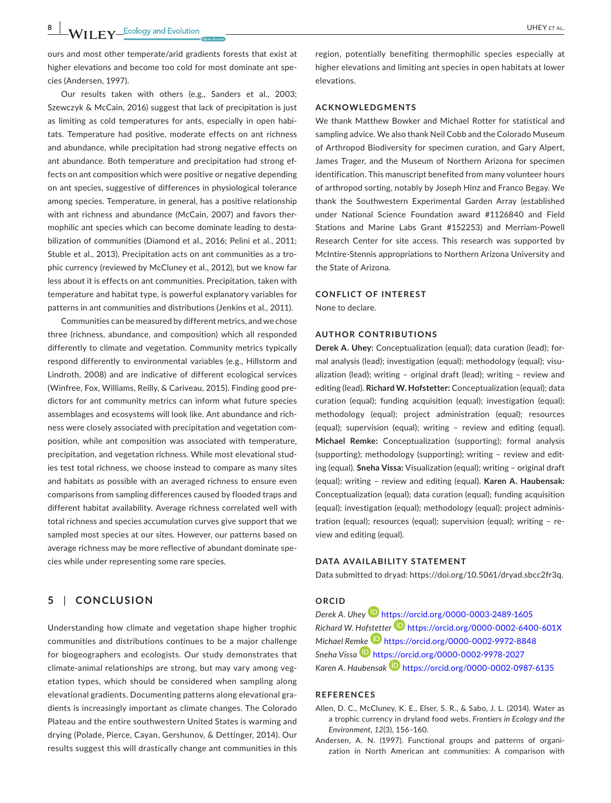ours and most other temperate/arid gradients forests that exist at higher elevations and become too cold for most dominate ant species (Andersen, 1997).

Our results taken with others (e.g., Sanders et al., 2003; Szewczyk & McCain, 2016) suggest that lack of precipitation is just as limiting as cold temperatures for ants, especially in open habitats. Temperature had positive, moderate effects on ant richness and abundance, while precipitation had strong negative effects on ant abundance. Both temperature and precipitation had strong effects on ant composition which were positive or negative depending on ant species, suggestive of differences in physiological tolerance among species. Temperature, in general, has a positive relationship with ant richness and abundance (McCain, 2007) and favors thermophilic ant species which can become dominate leading to destabilization of communities (Diamond et al., 2016; Pelini et al., 2011; Stuble et al., 2013). Precipitation acts on ant communities as a trophic currency (reviewed by McCluney et al., 2012), but we know far less about it is effects on ant communities. Precipitation, taken with temperature and habitat type, is powerful explanatory variables for patterns in ant communities and distributions (Jenkins et al., 2011).

Communities can be measured by different metrics, and we chose three (richness, abundance, and composition) which all responded differently to climate and vegetation. Community metrics typically respond differently to environmental variables (e.g., Hillstorm and Lindroth, 2008) and are indicative of different ecological services (Winfree, Fox, Williams, Reilly, & Cariveau, 2015). Finding good predictors for ant community metrics can inform what future species assemblages and ecosystems will look like. Ant abundance and richness were closely associated with precipitation and vegetation composition, while ant composition was associated with temperature, precipitation, and vegetation richness. While most elevational studies test total richness, we choose instead to compare as many sites and habitats as possible with an averaged richness to ensure even comparisons from sampling differences caused by flooded traps and different habitat availability. Average richness correlated well with total richness and species accumulation curves give support that we sampled most species at our sites. However, our patterns based on average richness may be more reflective of abundant dominate species while under representing some rare species.

## **5** | **CONCLUSION**

Understanding how climate and vegetation shape higher trophic communities and distributions continues to be a major challenge for biogeographers and ecologists. Our study demonstrates that climate-animal relationships are strong, but may vary among vegetation types, which should be considered when sampling along elevational gradients. Documenting patterns along elevational gradients is increasingly important as climate changes. The Colorado Plateau and the entire southwestern United States is warming and drying (Polade, Pierce, Cayan, Gershunov, & Dettinger, 2014). Our results suggest this will drastically change ant communities in this

region, potentially benefiting thermophilic species especially at higher elevations and limiting ant species in open habitats at lower elevations.

### **ACKNOWLEDGMENTS**

We thank Matthew Bowker and Michael Rotter for statistical and sampling advice. We also thank Neil Cobb and the Colorado Museum of Arthropod Biodiversity for specimen curation, and Gary Alpert, James Trager, and the Museum of Northern Arizona for specimen identification. This manuscript benefited from many volunteer hours of arthropod sorting, notably by Joseph Hinz and Franco Begay. We thank the Southwestern Experimental Garden Array (established under National Science Foundation award #1126840 and Field Stations and Marine Labs Grant #152253) and Merriam-Powell Research Center for site access. This research was supported by McIntire-Stennis appropriations to Northern Arizona University and the State of Arizona.

#### **CONFLICT OF INTEREST**

None to declare.

#### **AUTHOR CONTRIBUTIONS**

**Derek A. Uhey:** Conceptualization (equal); data curation (lead); formal analysis (lead); investigation (equal); methodology (equal); visualization (lead); writing – original draft (lead); writing – review and editing (lead). **Richard W. Hofstetter:** Conceptualization (equal); data curation (equal); funding acquisition (equal); investigation (equal); methodology (equal); project administration (equal); resources (equal); supervision (equal); writing – review and editing (equal). **Michael Remke:** Conceptualization (supporting); formal analysis (supporting); methodology (supporting); writing – review and editing (equal). **Sneha Vissa:** Visualization (equal); writing – original draft (equal); writing – review and editing (equal). **Karen A. Haubensak:** Conceptualization (equal); data curation (equal); funding acquisition (equal); investigation (equal); methodology (equal); project administration (equal); resources (equal); supervision (equal); writing – review and editing (equal).

#### **DATA AVAILABILITY STATEMENT**

Data submitted to dryad: <https://doi.org/10.5061/dryad.sbcc2fr3q>.

## **ORCID**

*Derek A. Uhe[y](https://orcid.org/0000-0003-2489-1605)* <https://orcid.org/0000-0003-2489-1605> *Richard W. Ho[fstett](https://orcid.org/0000-0002-9972-8848)er* <https://orcid.org/0000-0002-6400-601X> *Michael Re[mke](https://orcid.org/0000-0002-9978-2027)* <https://orcid.org/0000-0002-9972-8848> *Sneha Vissa* <https://orcid.org/0000-0002-9978-2027> Karen A. Haubensak **<https://orcid.org/0000-0002-0987-6135>** 

#### **REFERENCES**

- Allen, D. C., McCluney, K. E., Elser, S. R., & Sabo, J. L. (2014). Water as a trophic currency in dryland food webs. *Frontiers in Ecology and the Environment*, *12*(3), 156–160.
- Andersen, A. N. (1997). Functional groups and patterns of organization in North American ant communities: A comparison with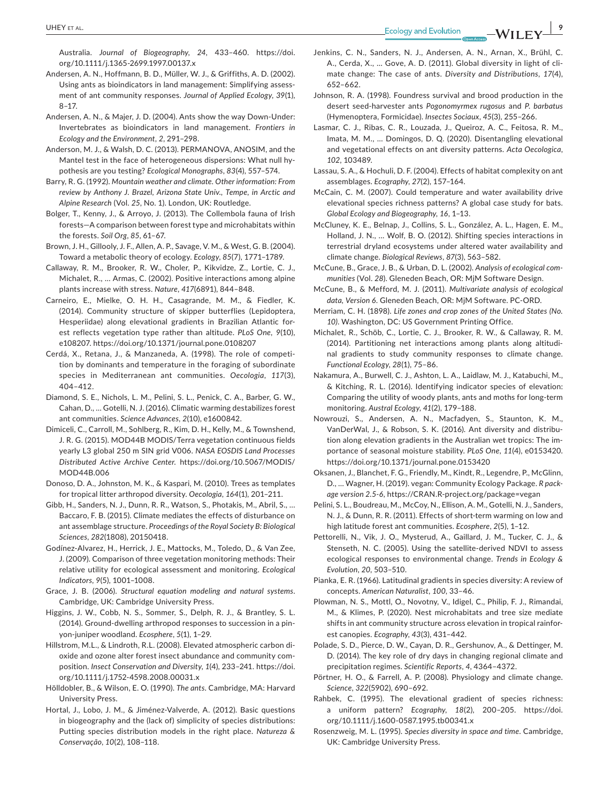Australia. *Journal of Biogeography*, *24*, 433–460. [https://doi.](https://doi.org/10.1111/j.1365-2699.1997.00137.x) [org/10.1111/j.1365-2699.1997.00137.x](https://doi.org/10.1111/j.1365-2699.1997.00137.x)

- Andersen, A. N., Hoffmann, B. D., Müller, W. J., & Griffiths, A. D. (2002). Using ants as bioindicators in land management: Simplifying assessment of ant community responses. *Journal of Applied Ecology*, *39*(1), 8–17.
- Andersen, A. N., & Majer, J. D. (2004). Ants show the way Down-Under: Invertebrates as bioindicators in land management. *Frontiers in Ecology and the Environment*, *2*, 291–298.
- Anderson, M. J., & Walsh, D. C. (2013). PERMANOVA, ANOSIM, and the Mantel test in the face of heterogeneous dispersions: What null hypothesis are you testing? *Ecological Monographs*, *83*(4), 557–574.
- Barry, R. G. (1992). *Mountain weather and climate. Other information: From review by Anthony J. Brazel, Arizona State Univ., Tempe, in Arctic and Alpine Research* (Vol. *25*, No. 1). London, UK: Routledge.
- Bolger, T., Kenny, J., & Arroyo, J. (2013). The Collembola fauna of Irish forests—A comparison between forest type and microhabitats within the forests. *Soil Org*, *85*, 61–67.
- Brown, J. H., Gillooly, J. F., Allen, A. P., Savage, V. M., & West, G. B. (2004). Toward a metabolic theory of ecology. *Ecology*, *85*(7), 1771–1789.
- Callaway, R. M., Brooker, R. W., Choler, P., Kikvidze, Z., Lortie, C. J., Michalet, R., … Armas, C. (2002). Positive interactions among alpine plants increase with stress. *Nature*, *417*(6891), 844–848.
- Carneiro, E., Mielke, O. H. H., Casagrande, M. M., & Fiedler, K. (2014). Community structure of skipper butterflies (Lepidoptera, Hesperiidae) along elevational gradients in Brazilian Atlantic forest reflects vegetation type rather than altitude. *PLoS One*, *9*(10), e108207. <https://doi.org/10.1371/journal.pone.0108207>
- Cerdá, X., Retana, J., & Manzaneda, A. (1998). The role of competition by dominants and temperature in the foraging of subordinate species in Mediterranean ant communities. *Oecologia*, *117*(3), 404–412.
- Diamond, S. E., Nichols, L. M., Pelini, S. L., Penick, C. A., Barber, G. W., Cahan, D., … Gotelli, N. J. (2016). Climatic warming destabilizes forest ant communities. *Science Advances*, *2*(10), e1600842.
- Dimiceli, C., Carroll, M., Sohlberg, R., Kim, D. H., Kelly, M., & Townshend, J. R. G. (2015). MOD44B MODIS/Terra vegetation continuous fields yearly L3 global 250 m SIN grid V006. *NASA EOSDIS Land Processes Distributed Active Archive Center*. [https://doi.org/10.5067/MODIS/](https://doi.org/10.5067/MODIS/MOD44B.006) [MOD44B.006](https://doi.org/10.5067/MODIS/MOD44B.006)
- Donoso, D. A., Johnston, M. K., & Kaspari, M. (2010). Trees as templates for tropical litter arthropod diversity. *Oecologia*, *164*(1), 201–211.
- Gibb, H., Sanders, N. J., Dunn, R. R., Watson, S., Photakis, M., Abril, S., … Baccaro, F. B. (2015). Climate mediates the effects of disturbance on ant assemblage structure. *Proceedings of the Royal Society B: Biological Sciences*, *282*(1808), 20150418.
- Godínez-Alvarez, H., Herrick, J. E., Mattocks, M., Toledo, D., & Van Zee, J. (2009). Comparison of three vegetation monitoring methods: Their relative utility for ecological assessment and monitoring. *Ecological Indicators*, *9*(5), 1001–1008.
- Grace, J. B. (2006). *Structural equation modeling and natural systems*. Cambridge, UK: Cambridge University Press.
- Higgins, J. W., Cobb, N. S., Sommer, S., Delph, R. J., & Brantley, S. L. (2014). Ground-dwelling arthropod responses to succession in a pinyon-juniper woodland. *Ecosphere*, *5*(1), 1–29.
- Hillstrom, M.L., & Lindroth, R.L. (2008). Elevated atmospheric carbon dioxide and ozone alter forest insect abundance and community composition. *Insect Conservation and Diversity*, *1*(4), 233–241. [https://doi.](https://doi.org/10.1111/j.1752-4598.2008.00031.x) [org/10.1111/j.1752-4598.2008.00031.x](https://doi.org/10.1111/j.1752-4598.2008.00031.x)
- Hölldobler, B., & Wilson, E. O. (1990). *The ants*. Cambridge, MA: Harvard University Press.
- Hortal, J., Lobo, J. M., & Jiménez-Valverde, A. (2012). Basic questions in biogeography and the (lack of) simplicity of species distributions: Putting species distribution models in the right place. *Natureza & Conservação*, *10*(2), 108–118.
- Jenkins, C. N., Sanders, N. J., Andersen, A. N., Arnan, X., Brühl, C. A., Cerda, X., … Gove, A. D. (2011). Global diversity in light of climate change: The case of ants. *Diversity and Distributions*, *17*(4), 652–662.
- Johnson, R. A. (1998). Foundress survival and brood production in the desert seed-harvester ants *Pogonomyrmex rugosus* and *P. barbatus* (Hymenoptera, Formicidae). *Insectes Sociaux*, *45*(3), 255–266.
- Lasmar, C. J., Ribas, C. R., Louzada, J., Queiroz, A. C., Feitosa, R. M., Imata, M. M., … Domingos, D. Q. (2020). Disentangling elevational and vegetational effects on ant diversity patterns. *Acta Oecologica*, *102*, 103489.
- Lassau, S. A., & Hochuli, D. F. (2004). Effects of habitat complexity on ant assemblages. *Ecography*, *27*(2), 157–164.
- McCain, C. M. (2007). Could temperature and water availability drive elevational species richness patterns? A global case study for bats. *Global Ecology and Biogeography*, *16*, 1–13.
- McCluney, K. E., Belnap, J., Collins, S. L., González, A. L., Hagen, E. M., Holland, J. N., … Wolf, B. O. (2012). Shifting species interactions in terrestrial dryland ecosystems under altered water availability and climate change. *Biological Reviews*, *87*(3), 563–582.
- McCune, B., Grace, J. B., & Urban, D. L. (2002). *Analysis of ecological communities* (Vol. *28*). Gleneden Beach, OR: MjM Software Design.
- McCune, B., & Mefford, M. J. (2011). *Multivariate analysis of ecological data, Version 6*. Gleneden Beach, OR: MjM Software. PC-ORD.
- Merriam, C. H. (1898). *Life zones and crop zones of the United States (No. 10)*. Washington, DC: US Government Printing Office.
- Michalet, R., Schöb, C., Lortie, C. J., Brooker, R. W., & Callaway, R. M. (2014). Partitioning net interactions among plants along altitudinal gradients to study community responses to climate change. *Functional Ecology*, *28*(1), 75–86.
- Nakamura, A., Burwell, C. J., Ashton, L. A., Laidlaw, M. J., Katabuchi, M., & Kitching, R. L. (2016). Identifying indicator species of elevation: Comparing the utility of woody plants, ants and moths for long-term monitoring. *Austral Ecology*, *41*(2), 179–188.
- Nowrouzi, S., Andersen, A. N., Macfadyen, S., Staunton, K. M., VanDerWal, J., & Robson, S. K. (2016). Ant diversity and distribution along elevation gradients in the Australian wet tropics: The importance of seasonal moisture stability. *PLoS One*, *11*(4), e0153420. <https://doi.org/10.1371/journal.pone.0153420>
- Oksanen, J., Blanchet, F. G., Friendly, M., Kindt, R., Legendre, P., McGlinn, D., … Wagner, H. (2019). vegan: Community Ecology Package. *R package version 2.5-6*,<https://CRAN.R-project.org/package=vegan>
- Pelini, S. L., Boudreau, M., McCoy, N., Ellison, A. M., Gotelli, N. J., Sanders, N. J., & Dunn, R. R. (2011). Effects of short-term warming on low and high latitude forest ant communities. *Ecosphere*, *2*(5), 1–12.
- Pettorelli, N., Vik, J. O., Mysterud, A., Gaillard, J. M., Tucker, C. J., & Stenseth, N. C. (2005). Using the satellite-derived NDVI to assess ecological responses to environmental change. *Trends in Ecology & Evolution*, *20*, 503–510.
- Pianka, E. R. (1966). Latitudinal gradients in species diversity: A review of concepts. *American Naturalist*, *100*, 33–46.
- Plowman, N. S., Mottl, O., Novotny, V., Idigel, C., Philip, F. J., Rimandai, M., & Klimes, P. (2020). Nest microhabitats and tree size mediate shifts in ant community structure across elevation in tropical rainforest canopies. *Ecography*, *43*(3), 431–442.
- Polade, S. D., Pierce, D. W., Cayan, D. R., Gershunov, A., & Dettinger, M. D. (2014). The key role of dry days in changing regional climate and precipitation regimes. *Scientific Reports*, *4*, 4364–4372.
- Pörtner, H. O., & Farrell, A. P. (2008). Physiology and climate change. *Science*, *322*(5902), 690–692.
- Rahbek, C. (1995). The elevational gradient of species richness: a uniform pattern? *Ecography*, *18*(2), 200–205. [https://doi.](https://doi.org/10.1111/j.1600-0587.1995.tb00341.x) [org/10.1111/j.1600-0587.1995.tb00341.x](https://doi.org/10.1111/j.1600-0587.1995.tb00341.x)
- Rosenzweig, M. L. (1995). *Species diversity in space and time*. Cambridge, UK: Cambridge University Press.